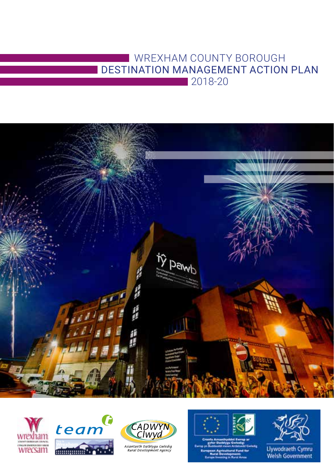# WREXHAM COUNTY BOROUGH DESTINATION MANAGEMENT ACTION PLAN 2018-20









Asiantaeth Datblygu Gwledig<br>Rural Development Agency





Llywodraeth Cymru<br>Welsh Government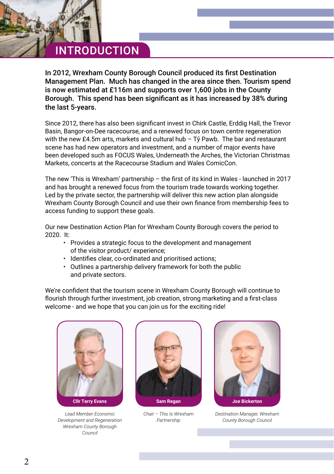# INTRODUCTION

In 2012, Wrexham County Borough Council produced its first Destination Management Plan. Much has changed in the area since then. Tourism spend is now estimated at £116m and supports over 1,600 jobs in the County Borough. This spend has been significant as it has increased by 38% during the last 5-years.

Since 2012, there has also been significant invest in Chirk Castle, Erddig Hall, the Trevor Basin, Bangor-on-Dee racecourse, and a renewed focus on town centre regeneration with the new £4.5m arts, markets and cultural hub – Tŷ Pawb. The bar and restaurant scene has had new operators and investment, and a number of major events have been developed such as FOCUS Wales, Underneath the Arches, the Victorian Christmas Markets, concerts at the Racecourse Stadium and Wales ComicCon.

The new 'This is Wrexham' partnership – the first of its kind in Wales - launched in 2017 and has brought a renewed focus from the tourism trade towards working together. Led by the private sector, the partnership will deliver this new action plan alongside Wrexham County Borough Council and use their own finance from membership fees to access funding to support these goals.

Our new Destination Action Plan for Wrexham County Borough covers the period to 2020. It:

- Provides a strategic focus to the development and management of the visitor product/ experience;
- Identifies clear, co-ordinated and prioritised actions;
- Outlines a partnership delivery framework for both the public and private sectors.

We're confident that the tourism scene in Wrexham County Borough will continue to flourish through further investment, job creation, strong marketing and a first-class welcome - and we hope that you can join us for the exciting ride!



*Lead Member Economic Development and Regeneration Wrexham County Borough Council*



*Chair – This Is Wrexham Partnership*



*Destination Manager, Wrexham County Borough Council*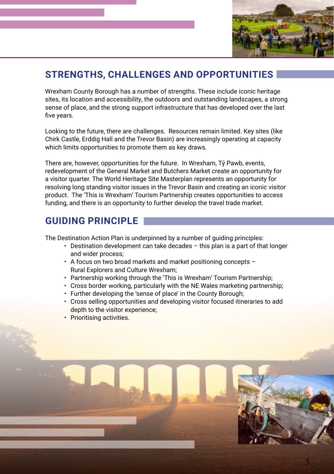

## **STRENGTHS, CHALLENGES AND OPPORTUNITIES**

Wrexham County Borough has a number of strengths. These include iconic heritage sites, its location and accessibility, the outdoors and outstanding landscapes, a strong sense of place, and the strong support infrastructure that has developed over the last five years.

Looking to the future, there are challenges. Resources remain limited. Key sites (like Chirk Castle, Erddig Hall and the Trevor Basin) are increasingly operating at capacity which limits opportunities to promote them as key draws.

There are, however, opportunities for the future. In Wrexham, Tŷ Pawb, events, redevelopment of the General Market and Butchers Market create an opportunity for a visitor quarter. The World Heritage Site Masterplan represents an opportunity for resolving long standing visitor issues in the Trevor Basin and creating an iconic visitor product. The 'This is Wrexham' Tourism Partnership creates opportunities to access funding, and there is an opportunity to further develop the travel trade market.

### **GUIDING PRINCIPLE**

The Destination Action Plan is underpinned by a number of guiding principles:

- Destination development can take decades this plan is a part of that longer and wider process;
- A focus on two broad markets and market positioning concepts Rural Explorers and Culture Wrexham;
- Partnership working through the 'This is Wrexham' Tourism Partnership;
- Cross border working, particularly with the NE Wales marketing partnership;
- Further developing the 'sense of place' in the County Borough;
- Cross selling opportunities and developing visitor focused itineraries to add depth to the visitor experience;
- Prioritising activities.



3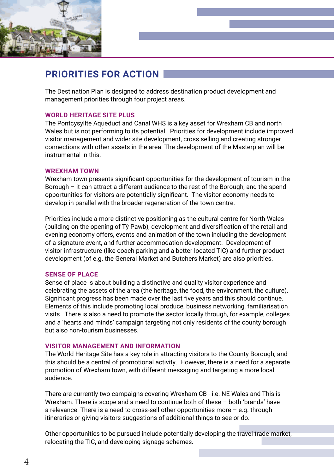

### **PRIORITIES FOR ACTION**

The Destination Plan is designed to address destination product development and management priorities through four project areas.

#### **WORLD HERITAGE SITE PLUS**

The Pontcysyllte Aqueduct and Canal WHS is a key asset for Wrexham CB and north Wales but is not performing to its potential. Priorities for development include improved visitor management and wider site development, cross selling and creating stronger connections with other assets in the area. The development of the Masterplan will be instrumental in this.

#### **WREXHAM TOWN**

Wrexham town presents significant opportunities for the development of tourism in the Borough – it can attract a different audience to the rest of the Borough, and the spend opportunities for visitors are potentially significant. The visitor economy needs to develop in parallel with the broader regeneration of the town centre.

Priorities include a more distinctive positioning as the cultural centre for North Wales (building on the opening of Tŷ Pawb), development and diversification of the retail and evening economy offers, events and animation of the town including the development of a signature event, and further accommodation development. Development of visitor infrastructure (like coach parking and a better located TIC) and further product development (of e.g. the General Market and Butchers Market) are also priorities.

#### **SENSE OF PLACE**

Sense of place is about building a distinctive and quality visitor experience and celebrating the assets of the area (the heritage, the food, the environment, the culture). Significant progress has been made over the last five years and this should continue. Elements of this include promoting local produce, business networking, familiarisation visits. There is also a need to promote the sector locally through, for example, colleges and a 'hearts and minds' campaign targeting not only residents of the county borough but also non-tourism businesses.

#### **VISITOR MANAGEMENT AND INFORMATION**

The World Heritage Site has a key role in attracting visitors to the County Borough, and this should be a central of promotional activity. However, there is a need for a separate promotion of Wrexham town, with different messaging and targeting a more local audience.

There are currently two campaigns covering Wrexham CB - i.e. NE Wales and This is Wrexham. There is scope and a need to continue both of these – both 'brands' have a relevance. There is a need to cross-sell other opportunities more – e.g. through itineraries or giving visitors suggestions of additional things to see or do.

Other opportunities to be pursued include potentially developing the travel trade market, relocating the TIC, and developing signage schemes.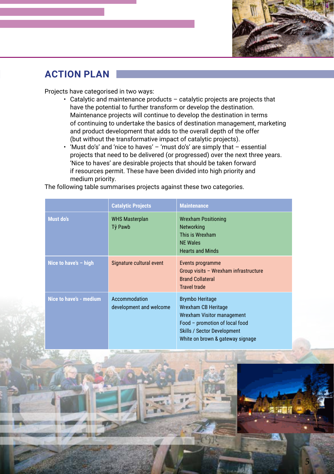

## **ACTION PLAN**

Projects have categorised in two ways:

- Catalytic and maintenance products catalytic projects are projects that have the potential to further transform or develop the destination. Maintenance projects will continue to develop the destination in terms of continuing to undertake the basics of destination management, marketing and product development that adds to the overall depth of the offer (but without the transformative impact of catalytic projects).
- 'Must do's' and 'nice to haves' 'must do's' are simply that essential projects that need to be delivered (or progressed) over the next three years. 'Nice to haves' are desirable projects that should be taken forward if resources permit. These have been divided into high priority and medium priority.

The following table summarises projects against these two categories.

|                         | <b>Catalytic Projects</b>                | <b>Maintenance</b>                                                                                                                                                                             |
|-------------------------|------------------------------------------|------------------------------------------------------------------------------------------------------------------------------------------------------------------------------------------------|
| <b>Must do's</b>        | <b>WHS Masterplan</b><br>Tŷ Pawb         | <b>Wrexham Positioning</b><br><b>Networking</b><br>This is Wrexham<br><b>NE Wales</b><br><b>Hearts and Minds</b>                                                                               |
| Nice to have's $-$ high | Signature cultural event                 | Events programme<br>Group visits - Wrexham infrastructure<br><b>Brand Collateral</b><br><b>Travel trade</b>                                                                                    |
| Nice to have's - medium | Accommodation<br>development and welcome | <b>Brymbo Heritage</b><br>Wrexham CB Heritage<br><b>Wrexham Visitor management</b><br>Food - promotion of local food<br><b>Skills / Sector Development</b><br>White on brown & gateway signage |

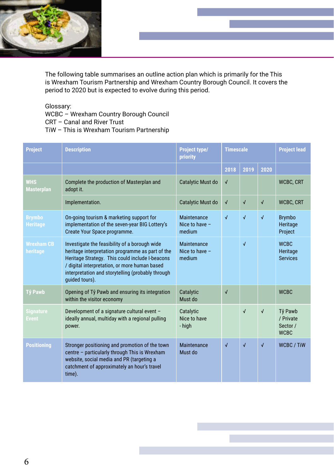

The following table summarises an outline action plan which is primarily for the This is Wrexham Tourism Partnership and Wrexham Country Borough Council. It covers the period to 2020 but is expected to evolve during this period.

Glossary:

WCBC – Wrexham Country Borough Council

- CRT Canal and River Trust
- TiW This is Wrexham Tourism Partnership

| <b>Project</b>                   | <b>Description</b>                                                                                                                                                                                                                                                           | Project type/<br>priority                        | <b>Timescale</b> |            |            | <b>Project lead</b>                             |
|----------------------------------|------------------------------------------------------------------------------------------------------------------------------------------------------------------------------------------------------------------------------------------------------------------------------|--------------------------------------------------|------------------|------------|------------|-------------------------------------------------|
|                                  |                                                                                                                                                                                                                                                                              |                                                  | 2018             | 2019       | 2020       |                                                 |
| <b>WHS</b><br><b>Masterplan</b>  | Complete the production of Masterplan and<br>adopt it.                                                                                                                                                                                                                       | Catalytic Must do                                | $\sqrt{ }$       |            |            | WCBC, CRT                                       |
|                                  | Implementation.                                                                                                                                                                                                                                                              | Catalytic Must do                                | $\sqrt{ }$       | $\sqrt{ }$ | $\sqrt{ }$ | <b>WCBC, CRT</b>                                |
| <b>Brymbo</b><br><b>Heritage</b> | On-going tourism & marketing support for<br>implementation of the seven-year BIG Lottery's<br>Create Your Space programme.                                                                                                                                                   | Maintenance<br>Nice to have $-$<br>medium        | $\sqrt{2}$       | $\sqrt{2}$ | $\sqrt{2}$ | <b>Brymbo</b><br>Heritage<br>Project            |
| <b>Wrexham CB</b><br>heritage    | Investigate the feasibility of a borough wide<br>heritage interpretation programme as part of the<br>Heritage Strategy. This could include I-beacons<br>/ digital interpretation, or more human based<br>interpretation and storytelling (probably through<br>quided tours). | <b>Maintenance</b><br>Nice to have $-$<br>medium |                  | $\sqrt{2}$ |            | <b>WCBC</b><br>Heritage<br><b>Services</b>      |
| <b>Tŷ Pawb</b>                   | Opening of Tŷ Pawb and ensuring its integration<br>within the visitor economy                                                                                                                                                                                                | Catalytic<br>Must do                             | $\sqrt{ }$       |            |            | <b>WCBC</b>                                     |
| <b>Signature</b><br><b>Event</b> | Development of a signature cultural event -<br>ideally annual, multiday with a regional pulling<br>power.                                                                                                                                                                    | Catalytic<br>Nice to have<br>- high              |                  | $\sqrt{ }$ | $\sqrt{ }$ | Tŷ Pawb<br>/ Private<br>Sector /<br><b>WCBC</b> |
| <b>Positioning</b>               | Stronger positioning and promotion of the town<br>centre - particularly through This is Wrexham<br>website, social media and PR (targeting a<br>catchment of approximately an hour's travel<br>time).                                                                        | Maintenance<br>Must do                           | $\sqrt{ }$       | $\sqrt{ }$ | $\sqrt{ }$ | <b>WCBC / TiW</b>                               |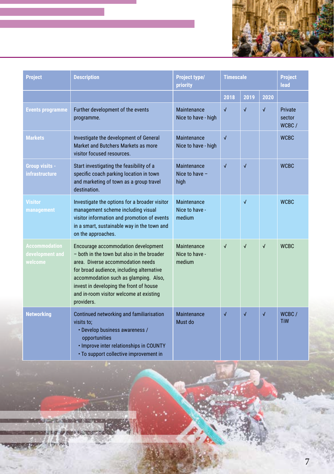

| <b>Project</b>                                     | <b>Description</b>                                                                                                                                                                                                                                                                                               | Project type/<br>priority               | <b>Timescale</b> |            |            | <b>Project</b><br>lead     |
|----------------------------------------------------|------------------------------------------------------------------------------------------------------------------------------------------------------------------------------------------------------------------------------------------------------------------------------------------------------------------|-----------------------------------------|------------------|------------|------------|----------------------------|
|                                                    |                                                                                                                                                                                                                                                                                                                  |                                         | 2018             | 2019       | 2020       |                            |
| <b>Events programme</b>                            | Further development of the events<br>programme.                                                                                                                                                                                                                                                                  | Maintenance<br>Nice to have - high      | $\sqrt{2}$       | $\sqrt{2}$ | $\sqrt{ }$ | Private<br>sector<br>WCBC/ |
| <b>Markets</b>                                     | Investigate the development of General<br>Market and Butchers Markets as more<br>visitor focused resources.                                                                                                                                                                                                      | Maintenance<br>Nice to have - high      | $\sqrt{ }$       |            |            | <b>WCBC</b>                |
| Group visits -<br>infrastructure                   | Start investigating the feasibility of a<br>specific coach parking location in town<br>and marketing of town as a group travel<br>destination.                                                                                                                                                                   | Maintenance<br>Nice to have $-$<br>high | $\sqrt{2}$       | $\sqrt{}$  |            | <b>WCBC</b>                |
| <b>Visitor</b><br>management                       | Investigate the options for a broader visitor<br>management scheme including visual<br>visitor information and promotion of events<br>in a smart, sustainable way in the town and<br>on the approaches.                                                                                                          | Maintenance<br>Nice to have -<br>medium |                  | $\sqrt{}$  |            | <b>WCBC</b>                |
| <b>Accommodation</b><br>development and<br>welcome | Encourage accommodation development<br>- both in the town but also in the broader<br>area. Diverse accommodation needs<br>for broad audience, including alternative<br>accommodation such as glamping. Also,<br>invest in developing the front of house<br>and in-room visitor welcome at existing<br>providers. | Maintenance<br>Nice to have -<br>medium | $\sqrt{2}$       | $\sqrt{2}$ | $\sqrt{ }$ | <b>WCBC</b>                |
| <b>Networking</b>                                  | Continued networking and familiarisation<br>visits to:<br>• Develop business awareness /<br>opportunities<br>. Improve inter relationships in COUNTY<br>• To support collective improvement in                                                                                                                   | Maintenance<br>Must do                  | $\sqrt{2}$       | √          | $\sqrt{2}$ | WCBC/<br><b>TiW</b>        |

49.452